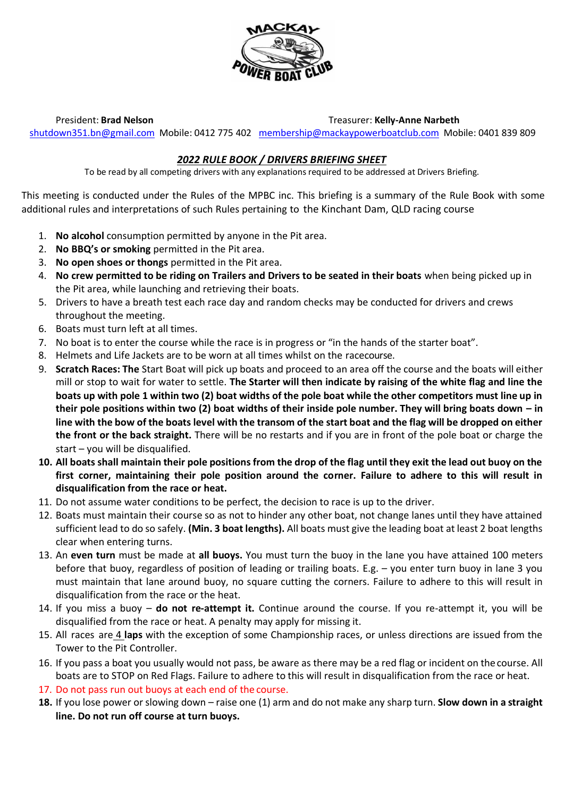

President: **Brad Nelson** Treasurer: **Kelly-Anne Narbeth**

[shutdown351.bn@gmail.com](mailto:shutdown351.bn@gmail.com) Mobile: 0412 775 402 [membership@mackaypowerboatclub.com](mailto:membership@mackaypowerboatclub.com) Mobile: 0401 839 809

# *2022 RULE BOOK / DRIVERS BRIEFING SHEET*

To be read by all competing drivers with any explanations required to be addressed at Drivers Briefing.

This meeting is conducted under the Rules of the MPBC inc. This briefing is a summary of the Rule Book with some additional rules and interpretations of such Rules pertaining to the Kinchant Dam, QLD racing course

- 1. **No alcohol** consumption permitted by anyone in the Pit area.
- 2. **No BBQ's or smoking** permitted in the Pit area.
- 3. **No open shoes or thongs** permitted in the Pit area.
- 4. **No crew permitted to be riding on Trailers and Drivers to be seated in their boats** when being picked up in the Pit area, while launching and retrieving their boats.
- 5. Drivers to have a breath test each race day and random checks may be conducted for drivers and crews throughout the meeting.
- 6. Boats must turn left at all times.
- 7. No boat is to enter the course while the race is in progress or "in the hands of the starter boat".
- 8. Helmets and Life Jackets are to be worn at all times whilst on the racecourse.
- 9. **Scratch Races: The** Start Boat will pick up boats and proceed to an area off the course and the boats will either mill or stop to wait for water to settle. **The Starter will then indicate by raising of the white flag and line the boats up with pole 1 within two (2) boat widths of the pole boat while the other competitors must line up in their pole positions within two (2) boat widths of their inside pole number. They will bring boats down – in line with the bow of the boats level with the transom of the start boat and the flag will be dropped on either the front or the back straight.** There will be no restarts and if you are in front of the pole boat or charge the start – you will be disqualified.
- **10. All boats shall maintain their pole positions from the drop of the flag until they exit the lead out buoy on the first corner, maintaining their pole position around the corner. Failure to adhere to this will result in disqualification from the race or heat.**
- 11. Do not assume water conditions to be perfect, the decision to race is up to the driver.
- 12. Boats must maintain their course so as not to hinder any other boat, not change lanes until they have attained sufficient lead to do so safely. **(Min. 3 boat lengths).** All boats must give the leading boat at least 2 boat lengths clear when entering turns.
- 13. An **even turn** must be made at **all buoys.** You must turn the buoy in the lane you have attained 100 meters before that buoy, regardless of position of leading or trailing boats. E.g. – you enter turn buoy in lane 3 you must maintain that lane around buoy, no square cutting the corners. Failure to adhere to this will result in disqualification from the race or the heat.
- 14. If you miss a buoy **do not re-attempt it.** Continue around the course. If you re-attempt it, you will be disqualified from the race or heat. A penalty may apply for missing it.
- 15. All races are 4 **laps** with the exception of some Championship races, or unless directions are issued from the Tower to the Pit Controller.
- 16. If you pass a boat you usually would not pass, be aware as there may be a red flag or incident on the course. All boats are to STOP on Red Flags. Failure to adhere to this will result in disqualification from the race or heat.
- 17. Do not pass run out buoys at each end of the course.
- **18.** If you lose power or slowing down raise one (1) arm and do not make any sharp turn. **Slow down in a straight line. Do not run off course at turn buoys.**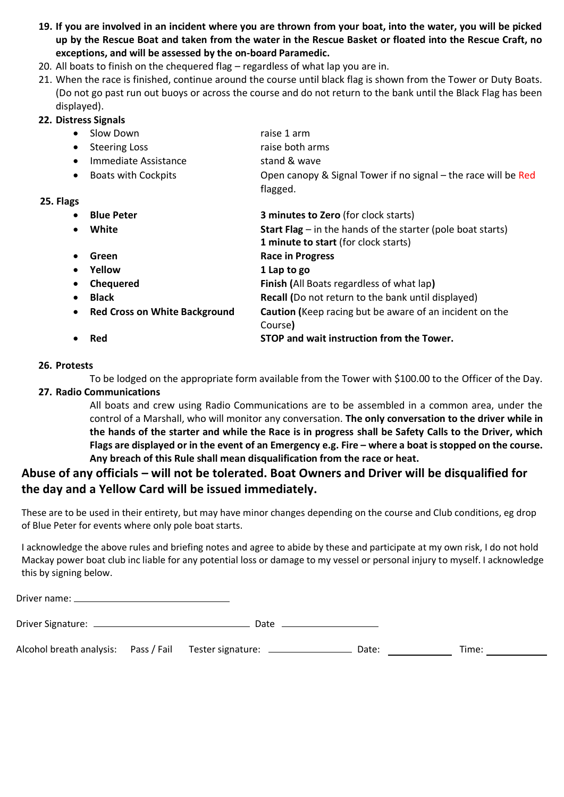- **19. If you are involved in an incident where you are thrown from your boat, into the water, you will be picked up by the Rescue Boat and taken from the water in the Rescue Basket or floated into the Rescue Craft, no exceptions, and will be assessed by the on-board Paramedic.**
- 20. All boats to finish on the chequered flag regardless of what lap you are in.
- 21. When the race is finished, continue around the course until black flag is shown from the Tower or Duty Boats. (Do not go past run out buoys or across the course and do not return to the bank until the Black Flag has been displayed).

#### **22. Distress Signals**

- Slow Down raise 1 arm
- Steering Loss raise both arms
- Immediate Assistance stand & wave
- Boats with Cockpits **Open canopy & Signal Tower if no signal** the race will be Red

flagged.

### **25. Flags**

| $\bullet$ | <b>Blue Peter</b>                    | 3 minutes to Zero (for clock starts)                                 |
|-----------|--------------------------------------|----------------------------------------------------------------------|
|           | White                                | <b>Start Flag</b> $-$ in the hands of the starter (pole boat starts) |
|           |                                      | 1 minute to start (for clock starts)                                 |
|           | Green                                | <b>Race in Progress</b>                                              |
|           | Yellow                               | 1 Lap to go                                                          |
| $\bullet$ | <b>Chequered</b>                     | Finish (All Boats regardless of what lap)                            |
|           | <b>Black</b>                         | <b>Recall (Do not return to the bank until displayed)</b>            |
| $\bullet$ | <b>Red Cross on White Background</b> | Caution (Keep racing but be aware of an incident on the              |
|           |                                      | Course)                                                              |
|           | Red                                  | STOP and wait instruction from the Tower.                            |
|           |                                      |                                                                      |

### **26. Protests**

To be lodged on the appropriate form available from the Tower with \$100.00 to the Officer of the Day.

# **27. Radio Communications**

All boats and crew using Radio Communications are to be assembled in a common area, under the control of a Marshall, who will monitor any conversation. **The only conversation to the driver while in the hands of the starter and while the Race is in progress shall be Safety Calls to the Driver, which Flags are displayed or in the event of an Emergency e.g. Fire – where a boat is stopped on the course. Any breach of this Rule shall mean disqualification from the race or heat.**

# **Abuse of any officials – will not be tolerated. Boat Owners and Driver will be disqualified for the day and a Yellow Card will be issued immediately.**

These are to be used in their entirety, but may have minor changes depending on the course and Club conditions, eg drop of Blue Peter for events where only pole boat starts.

I acknowledge the above rules and briefing notes and agree to abide by these and participate at my own risk, I do not hold Mackay power boat club inc liable for any potential loss or damage to my vessel or personal injury to myself. I acknowledge this by signing below.

|                                                                                  | Date |       |       |  |
|----------------------------------------------------------------------------------|------|-------|-------|--|
| Alcohol breath analysis: Pass / Fail Tester signature: _________________________ |      | Date: | Time: |  |